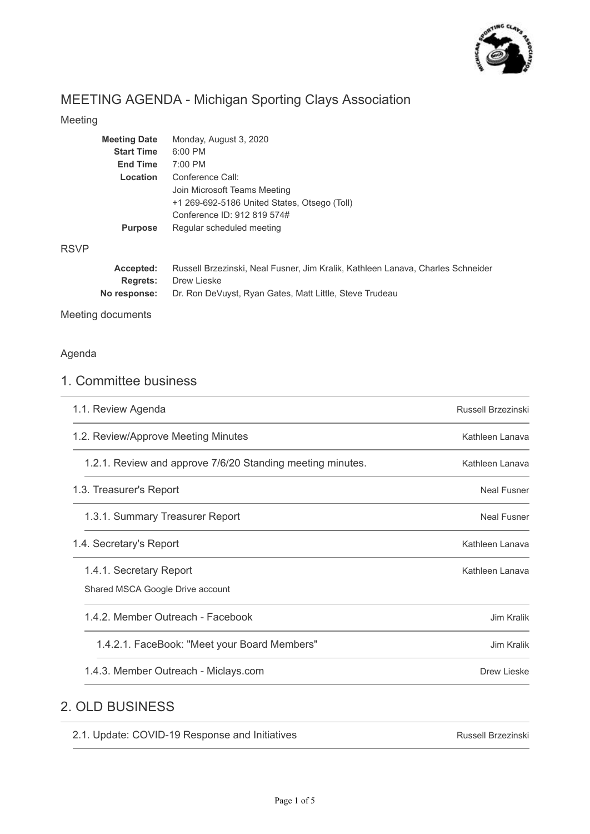

# MEETING AGENDA - Michigan Sporting Clays Association

**No response:** Dr. Ron DeVuyst, Ryan Gates, Matt Little, Steve Trudeau

### Meeting

| <b>Meeting Date</b> | Monday, August 3, 2020                                                          |
|---------------------|---------------------------------------------------------------------------------|
| <b>Start Time</b>   | $6:00$ PM                                                                       |
| <b>End Time</b>     | $7:00$ PM                                                                       |
| Location            | Conference Call:                                                                |
|                     | Join Microsoft Teams Meeting                                                    |
|                     | +1 269-692-5186 United States, Otsego (Toll)                                    |
|                     | Conference ID: 912 819 574#                                                     |
| <b>Purpose</b>      | Regular scheduled meeting                                                       |
| Accepted:           | Russell Brzezinski, Neal Fusner, Jim Kralik, Kathleen Lanava, Charles Schneider |
| <b>Regrets:</b>     | Drew Lieske                                                                     |
|                     |                                                                                 |

Meeting documents

### Agenda

RSVP

## 1. Committee business

| 1.1. Review Agenda                                          | Russell Brzezinski |
|-------------------------------------------------------------|--------------------|
| 1.2. Review/Approve Meeting Minutes                         | Kathleen Lanava    |
| 1.2.1. Review and approve 7/6/20 Standing meeting minutes.  | Kathleen Lanava    |
| 1.3. Treasurer's Report                                     | <b>Neal Fusner</b> |
| 1.3.1. Summary Treasurer Report                             | <b>Neal Fusner</b> |
| 1.4. Secretary's Report                                     | Kathleen Lanava    |
| 1.4.1. Secretary Report<br>Shared MSCA Google Drive account | Kathleen Lanava    |
| 1.4.2. Member Outreach - Facebook                           | Jim Kralik         |
| 1.4.2.1. FaceBook: "Meet your Board Members"                | Jim Kralik         |
| 1.4.3. Member Outreach - Miclays.com                        | Drew Lieske        |
|                                                             |                    |

## 2. OLD BUSINESS

| 2.1. Update: COVID-19 Response and Initiatives | <b>Russell Brzezinski</b> |
|------------------------------------------------|---------------------------|
|                                                |                           |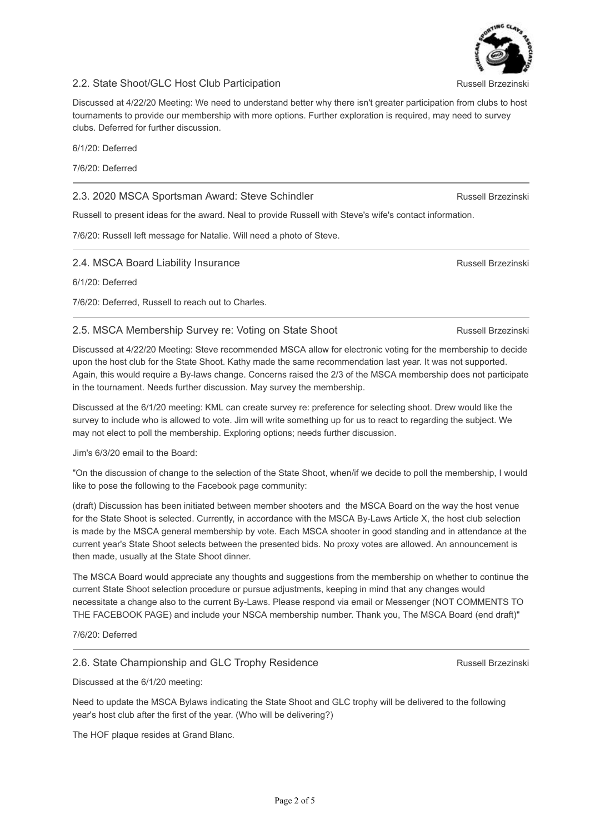#### 2.2. State Shoot/GLC Host Club Participation

Discussed at 4/22/20 Meeting: We need to understand better why there isn't greater participation from clubs to host tournaments to provide our membership with more options. Further exploration is required, may need to survey clubs. Deferred for further discussion.

6/1/20: Deferred

7/6/20: Deferred

### 2.3. 2020 MSCA Sportsman Award: Steve Schindler

Russell to present ideas for the award. Neal to provide Russell with Steve's wife's contact information.

7/6/20: Russell left message for Natalie. Will need a photo of Steve.

#### 2.4. MSCA Board Liability Insurance

6/1/20: Deferred

7/6/20: Deferred, Russell to reach out to Charles.

#### 2.5. MSCA Membership Survey re: Voting on State Shoot

Discussed at 4/22/20 Meeting: Steve recommended MSCA allow for electronic voting for the membership to decide upon the host club for the State Shoot. Kathy made the same recommendation last year. It was not supported. Again, this would require a By-laws change. Concerns raised the 2/3 of the MSCA membership does not participate in the tournament. Needs further discussion. May survey the membership.

Discussed at the 6/1/20 meeting: KML can create survey re: preference for selecting shoot. Drew would like the survey to include who is allowed to vote. Jim will write something up for us to react to regarding the subject. We may not elect to poll the membership. Exploring options; needs further discussion.

Jim's 6/3/20 email to the Board:

"On the discussion of change to the selection of the State Shoot, when/if we decide to poll the membership, I would like to pose the following to the Facebook page community:

(draft) Discussion has been initiated between member shooters and the MSCA Board on the way the host venue for the State Shoot is selected. Currently, in accordance with the MSCA By-Laws Article X, the host club selection is made by the MSCA general membership by vote. Each MSCA shooter in good standing and in attendance at the current year's State Shoot selects between the presented bids. No proxy votes are allowed. An announcement is then made, usually at the State Shoot dinner.

The MSCA Board would appreciate any thoughts and suggestions from the membership on whether to continue the current State Shoot selection procedure or pursue adjustments, keeping in mind that any changes would necessitate a change also to the current By-Laws. Please respond via email or Messenger (NOT COMMENTS TO THE FACEBOOK PAGE) and include your NSCA membership number. Thank you, The MSCA Board (end draft)"

7/6/20: Deferred

#### 2.6. State Championship and GLC Trophy Residence

Discussed at the 6/1/20 meeting:

Need to update the MSCA Bylaws indicating the State Shoot and GLC trophy will be delivered to the following year's host club after the first of the year. (Who will be delivering?)

The HOF plaque resides at Grand Blanc.



Russell Brzezinski

Russell Brzezinski

Russell Brzezinski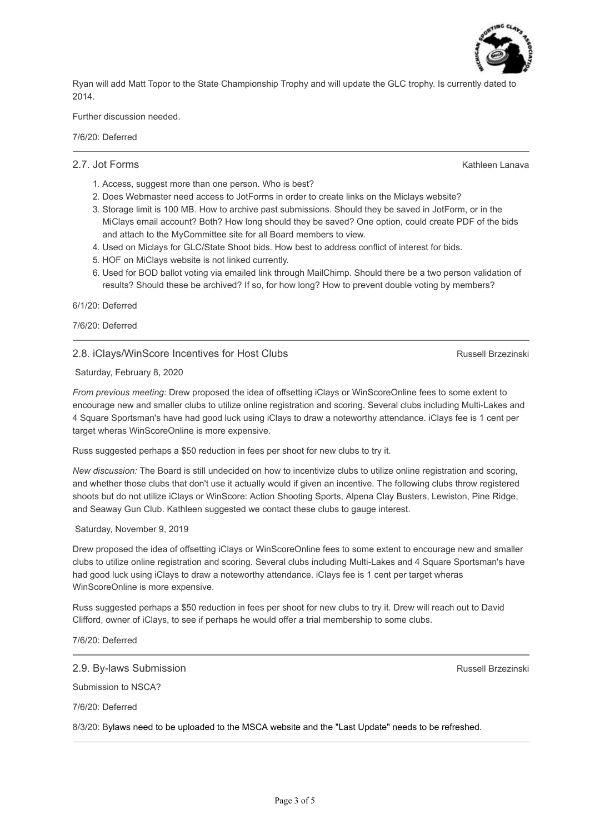

Ryan will add Matt Topor to the State Championship Trophy and will update the GLC trophy. Is currently dated to 2014.

Further discussion needed.

7/6/20: Deferred

#### 2.7. Jot Forms

Kathleen Lanava

- 1. Access, suggest more than one person. Who is best?
- 2. Does Webmaster need access to JotForms in order to create links on the Miclays website?
- 3. Storage limit is 100 MB. How to archive past submissions. Should they be saved in JotForm, or in the MiClays email account? Both? How long should they be saved? One option, could create PDF of the bids and attach to the MyCommittee site for all Board members to view.
- 4. Used on Miclays for GLC/State Shoot bids. How best to address conflict of interest for bids.
- 5. HOF on MiClays website is not linked currently.
- 6. Used for BOD ballot voting via emailed link through MailChimp. Should there be a two person validation of results? Should these be archived? If so, for how long? How to prevent double voting by members?

6/1/20: Deferred

7/6/20: Deferred

#### 2.8. iClays/WinScore Incentives for Host Clubs

Russell Brzezinski

Saturday, February 8, 2020

*From previous meeting:* Drew proposed the idea of offsetting iClays or WinScoreOnline fees to some extent to encourage new and smaller clubs to utilize online registration and scoring. Several clubs including Multi-Lakes and 4 Square Sportsman's have had good luck using iClays to draw a noteworthy attendance. iClays fee is 1 cent per target wheras WinScoreOnline is more expensive.

Russ suggested perhaps a \$50 reduction in fees per shoot for new clubs to try it.

*New discussion:* The Board is still undecided on how to incentivize clubs to utilize online registration and scoring, and whether those clubs that don't use it actually would if given an incentive. The following clubs throw registered shoots but do not utilize iClays or WinScore: Action Shooting Sports, Alpena Clay Busters, Lewiston, Pine Ridge, and Seaway Gun Club. Kathleen suggested we contact these clubs to gauge interest.

#### Saturday, November 9, 2019

Drew proposed the idea of offsetting iClays or WinScoreOnline fees to some extent to encourage new and smaller clubs to utilize online registration and scoring. Several clubs including Multi-Lakes and 4 Square Sportsman's have had good luck using iClays to draw a noteworthy attendance. iClays fee is 1 cent per target wheras WinScoreOnline is more expensive.

Russ suggested perhaps a \$50 reduction in fees per shoot for new clubs to try it. Drew will reach out to David Clifford, owner of iClays, to see if perhaps he would offer a trial membership to some clubs.

7/6/20: Deferred

2.9. By-laws Submission

Submission to NSCA?

7/6/20: Deferred

8/3/20: Bylaws need to be uploaded to the MSCA website and the "Last Update" needs to be refreshed.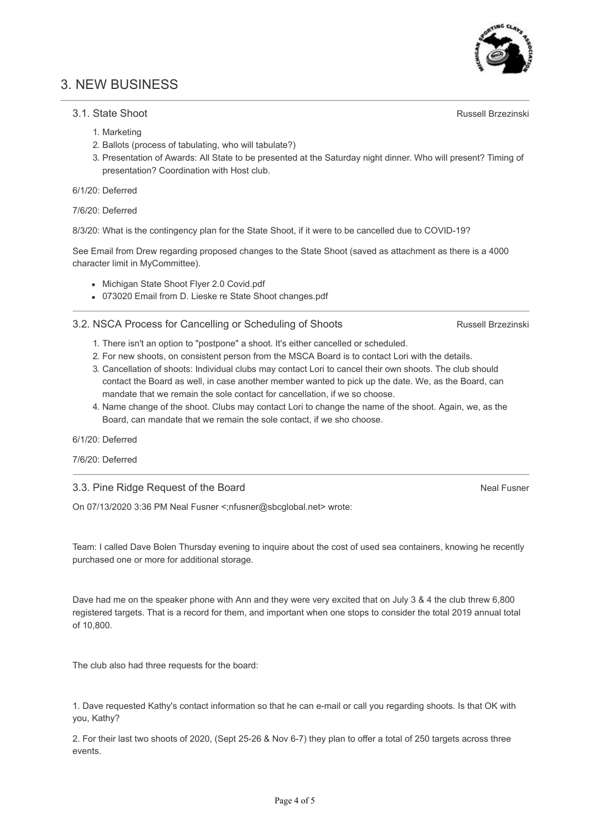## 3. NEW BUSINESS

### 3.1. State Shoot

- 1. Marketing
- 2. Ballots (process of tabulating, who will tabulate?)
- 3. Presentation of Awards: All State to be presented at the Saturday night dinner. Who will present? Timing of presentation? Coordination with Host club.

#### 6/1/20: Deferred

7/6/20: Deferred

8/3/20: What is the contingency plan for the State Shoot, if it were to be cancelled due to COVID-19?

See Email from Drew regarding proposed changes to the State Shoot (saved as attachment as there is a 4000 character limit in MyCommittee).

- Michigan State Shoot Flyer 2.0 Covid.pdf
- 073020 Email from D. Lieske re State Shoot changes.pdf

#### 3.2. NSCA Process for Cancelling or Scheduling of Shoots

- 1. There isn't an option to "postpone" a shoot. It's either cancelled or scheduled.
- 2. For new shoots, on consistent person from the MSCA Board is to contact Lori with the details.
- 3. Cancellation of shoots: Individual clubs may contact Lori to cancel their own shoots. The club should contact the Board as well, in case another member wanted to pick up the date. We, as the Board, can mandate that we remain the sole contact for cancellation, if we so choose.
- 4. Name change of the shoot. Clubs may contact Lori to change the name of the shoot. Again, we, as the Board, can mandate that we remain the sole contact, if we sho choose.

6/1/20: Deferred

7/6/20: Deferred

3.3. Pine Ridge Request of the Board

On 07/13/2020 3:36 PM Neal Fusner <;nfusner@sbcglobal.net> wrote:

Team: I called Dave Bolen Thursday evening to inquire about the cost of used sea containers, knowing he recently purchased one or more for additional storage.

Dave had me on the speaker phone with Ann and they were very excited that on July 3 & 4 the club threw 6,800 registered targets. That is a record for them, and important when one stops to consider the total 2019 annual total of 10,800.

The club also had three requests for the board:

1. Dave requested Kathy's contact information so that he can e-mail or call you regarding shoots. Is that OK with you, Kathy?

2. For their last two shoots of 2020, (Sept 25-26 & Nov 6-7) they plan to offer a total of 250 targets across three events.

Russell Brzezinski

Neal Fusner